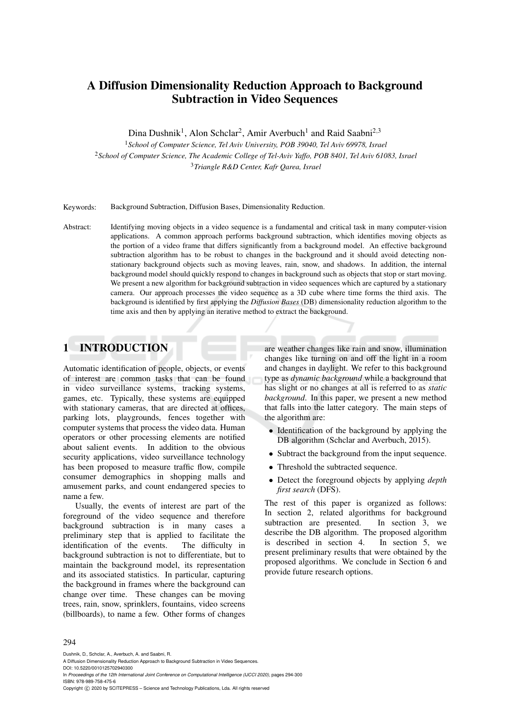# A Diffusion Dimensionality Reduction Approach to Background Subtraction in Video Sequences

Dina Dushnik<sup>1</sup>, Alon Schclar<sup>2</sup>, Amir Averbuch<sup>1</sup> and Raid Saabni<sup>2,3</sup>

<sup>1</sup>*School of Computer Science, Tel Aviv University, POB 39040, Tel Aviv 69978, Israel* <sup>2</sup>*School of Computer Science, The Academic College of Tel-Aviv Yaffo, POB 8401, Tel Aviv 61083, Israel* <sup>3</sup>*Triangle R&D Center, Kafr Qarea, Israel*

Keywords: Background Subtraction, Diffusion Bases, Dimensionality Reduction.

Abstract: Identifying moving objects in a video sequence is a fundamental and critical task in many computer-vision applications. A common approach performs background subtraction, which identifies moving objects as the portion of a video frame that differs significantly from a background model. An effective background subtraction algorithm has to be robust to changes in the background and it should avoid detecting nonstationary background objects such as moving leaves, rain, snow, and shadows. In addition, the internal background model should quickly respond to changes in background such as objects that stop or start moving. We present a new algorithm for background subtraction in video sequences which are captured by a stationary camera. Our approach processes the video sequence as a 3D cube where time forms the third axis. The background is identified by first applying the *Diffusion Bases* (DB) dimensionality reduction algorithm to the time axis and then by applying an iterative method to extract the background.

# 1 INTRODUCTION

Automatic identification of people, objects, or events of interest are common tasks that can be found in video surveillance systems, tracking systems, games, etc. Typically, these systems are equipped with stationary cameras, that are directed at offices, parking lots, playgrounds, fences together with computer systems that process the video data. Human operators or other processing elements are notified about salient events. In addition to the obvious security applications, video surveillance technology has been proposed to measure traffic flow, compile consumer demographics in shopping malls and amusement parks, and count endangered species to name a few.

Usually, the events of interest are part of the foreground of the video sequence and therefore background subtraction is in many cases a preliminary step that is applied to facilitate the identification of the events. The difficulty in background subtraction is not to differentiate, but to maintain the background model, its representation and its associated statistics. In particular, capturing the background in frames where the background can change over time. These changes can be moving trees, rain, snow, sprinklers, fountains, video screens (billboards), to name a few. Other forms of changes are weather changes like rain and snow, illumination changes like turning on and off the light in a room and changes in daylight. We refer to this background type as *dynamic background* while a background that has slight or no changes at all is referred to as *static background*. In this paper, we present a new method that falls into the latter category. The main steps of the algorithm are:

- Identification of the background by applying the DB algorithm (Schclar and Averbuch, 2015).
- Subtract the background from the input sequence.
- Threshold the subtracted sequence.
- Detect the foreground objects by applying *depth first search* (DFS).

The rest of this paper is organized as follows: In section 2, related algorithms for background subtraction are presented. In section 3, we describe the DB algorithm. The proposed algorithm<br>is described in section 4. In section 5, we is described in section 4. present preliminary results that were obtained by the proposed algorithms. We conclude in Section 6 and provide future research options.

#### 294

Dushnik, D., Schclar, A., Averbuch, A. and Saabni, R.

In *Proceedings of the 12th International Joint Conference on Computational Intelligence (IJCCI 2020)*, pages 294-300 ISBN: 978-989-758-475-6

Copyright © 2020 by SCITEPRESS - Science and Technology Publications, Lda. All rights reserved

A Diffusion Dimensionality Reduction Approach to Background Subtraction in Video Sequences. DOI: 10.5220/0010125702940300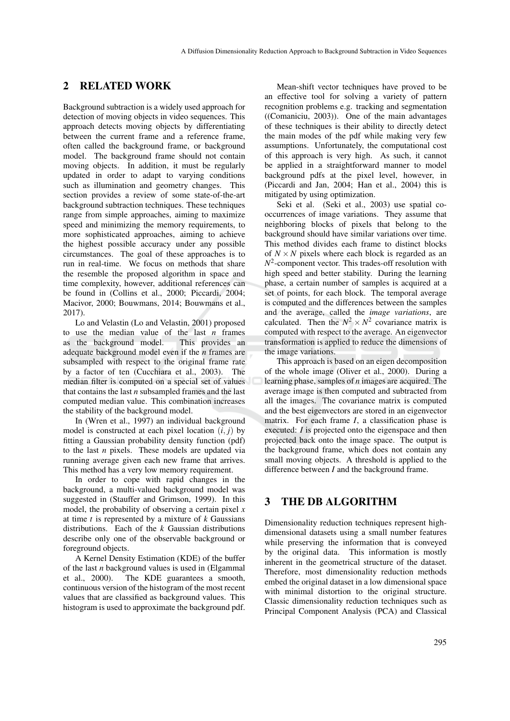# 2 RELATED WORK

Background subtraction is a widely used approach for detection of moving objects in video sequences. This approach detects moving objects by differentiating between the current frame and a reference frame, often called the background frame, or background model. The background frame should not contain moving objects. In addition, it must be regularly updated in order to adapt to varying conditions such as illumination and geometry changes. This section provides a review of some state-of-the-art background subtraction techniques. These techniques range from simple approaches, aiming to maximize speed and minimizing the memory requirements, to more sophisticated approaches, aiming to achieve the highest possible accuracy under any possible circumstances. The goal of these approaches is to run in real-time. We focus on methods that share the resemble the proposed algorithm in space and time complexity, however, additional references can be found in (Collins et al., 2000; Piccardi, 2004; Macivor, 2000; Bouwmans, 2014; Bouwmans et al., 2017).

Lo and Velastin (Lo and Velastin, 2001) proposed to use the median value of the last  $n$  frames as the background model. This provides an as the background model. adequate background model even if the *n* frames are subsampled with respect to the original frame rate by a factor of ten (Cucchiara et al., 2003). The median filter is computed on a special set of values that contains the last *n* subsampled frames and the last computed median value. This combination increases the stability of the background model.

In (Wren et al., 1997) an individual background model is constructed at each pixel location  $(i, j)$  by fitting a Gaussian probability density function (pdf) to the last *n* pixels. These models are updated via running average given each new frame that arrives. This method has a very low memory requirement.

In order to cope with rapid changes in the background, a multi-valued background model was suggested in (Stauffer and Grimson, 1999). In this model, the probability of observing a certain pixel *x* at time *t* is represented by a mixture of *k* Gaussians distributions. Each of the *k* Gaussian distributions describe only one of the observable background or foreground objects.

A Kernel Density Estimation (KDE) of the buffer of the last *n* background values is used in (Elgammal et al., 2000). The KDE guarantees a smooth, continuous version of the histogram of the most recent values that are classified as background values. This histogram is used to approximate the background pdf.

Mean-shift vector techniques have proved to be an effective tool for solving a variety of pattern recognition problems e.g. tracking and segmentation ((Comaniciu, 2003)). One of the main advantages of these techniques is their ability to directly detect the main modes of the pdf while making very few assumptions. Unfortunately, the computational cost of this approach is very high. As such, it cannot be applied in a straightforward manner to model background pdfs at the pixel level, however, in (Piccardi and Jan, 2004; Han et al., 2004) this is mitigated by using optimization.

Seki et al. (Seki et al., 2003) use spatial cooccurrences of image variations. They assume that neighboring blocks of pixels that belong to the background should have similar variations over time. This method divides each frame to distinct blocks of  $N \times N$  pixels where each block is regarded as an  $N^2$ -component vector. This trades-off resolution with high speed and better stability. During the learning phase, a certain number of samples is acquired at a set of points, for each block. The temporal average is computed and the differences between the samples and the average, called the *image variations*, are calculated. Then the  $N^2 \times N^2$  covariance matrix is computed with respect to the average. An eigenvector transformation is applied to reduce the dimensions of the image variations.

This approach is based on an eigen decomposition of the whole image (Oliver et al., 2000). During a learning phase, samples of *n* images are acquired. The average image is then computed and subtracted from all the images. The covariance matrix is computed and the best eigenvectors are stored in an eigenvector matrix. For each frame *I*, a classification phase is executed: *I* is projected onto the eigenspace and then projected back onto the image space. The output is the background frame, which does not contain any small moving objects. A threshold is applied to the difference between *I* and the background frame.

## 3 THE DB ALGORITHM

Dimensionality reduction techniques represent highdimensional datasets using a small number features while preserving the information that is conveyed by the original data. This information is mostly inherent in the geometrical structure of the dataset. Therefore, most dimensionality reduction methods embed the original dataset in a low dimensional space with minimal distortion to the original structure. Classic dimensionality reduction techniques such as Principal Component Analysis (PCA) and Classical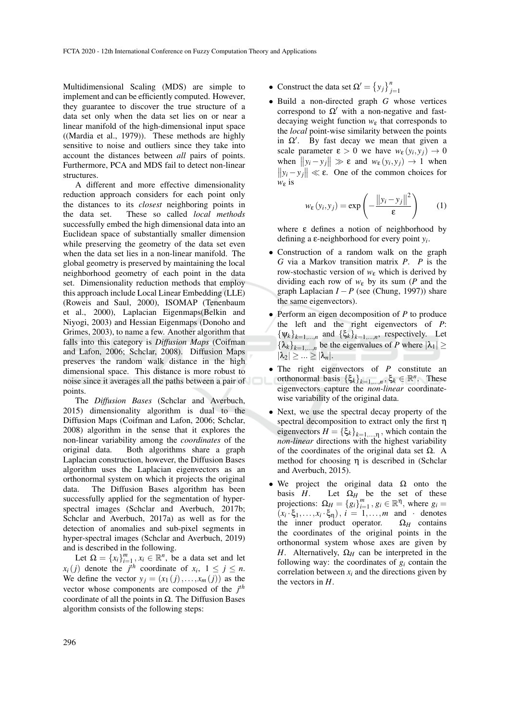Multidimensional Scaling (MDS) are simple to implement and can be efficiently computed. However, they guarantee to discover the true structure of a data set only when the data set lies on or near a linear manifold of the high-dimensional input space ((Mardia et al., 1979)). These methods are highly sensitive to noise and outliers since they take into account the distances between *all* pairs of points. Furthermore, PCA and MDS fail to detect non-linear structures.

A different and more effective dimensionality reduction approach considers for each point only the distances to its *closest* neighboring points in the data set. These so called *local methods* successfully embed the high dimensional data into an Euclidean space of substantially smaller dimension while preserving the geometry of the data set even when the data set lies in a non-linear manifold. The global geometry is preserved by maintaining the local neighborhood geometry of each point in the data set. Dimensionality reduction methods that employ this approach include Local Linear Embedding (LLE) (Roweis and Saul, 2000), ISOMAP (Tenenbaum et al., 2000), Laplacian Eigenmaps(Belkin and Niyogi, 2003) and Hessian Eigenmaps (Donoho and Grimes, 2003), to name a few. Another algorithm that falls into this category is *Diffusion Maps* (Coifman and Lafon, 2006; Schclar, 2008). Diffusion Maps preserves the random walk distance in the high dimensional space. This distance is more robust to noise since it averages all the paths between a pair of points.

The *Diffusion Bases* (Schclar and Averbuch, 2015) dimensionality algorithm is dual to the Diffusion Maps (Coifman and Lafon, 2006; Schclar, 2008) algorithm in the sense that it explores the non-linear variability among the *coordinates* of the original data. Both algorithms share a graph Laplacian construction, however, the Diffusion Bases algorithm uses the Laplacian eigenvectors as an orthonormal system on which it projects the original data. The Diffusion Bases algorithm has been successfully applied for the segmentation of hyperspectral images (Schclar and Averbuch, 2017b; Schclar and Averbuch, 2017a) as well as for the detection of anomalies and sub-pixel segments in hyper-spectral images (Schclar and Averbuch, 2019) and is described in the following.

Let  $\Omega = \{x_i\}_{i=1}^m$ ,  $x_i \in \mathbb{R}^n$ , be a data set and let  $x_i(j)$  denote the *j*<sup>th</sup> coordinate of  $x_i$ ,  $1 \le j \le n$ . We define the vector  $y_j = (x_1(j), \ldots, x_m(j))$  as the vector whose components are composed of the *j th* coordinate of all the points in Ω. The Diffusion Bases algorithm consists of the following steps:

- Construct the data set  $\Omega' = \{y_j\}_{j=1}^n$
- Build a non-directed graph *G* whose vertices correspond to  $\Omega'$  with a non-negative and fastdecaying weight function  $w_{\varepsilon}$  that corresponds to the *local* point-wise similarity between the points in  $\Omega'$ . By fast decay we mean that given a scale parameter  $\varepsilon > 0$  we have  $w_{\varepsilon}(y_i, y_j) \to 0$ when  $||y_i - y_j|| \gg \varepsilon$  and  $w_{\varepsilon}(y_i, y_j) \to 1$  when  $||y_i - y_j|| \ll \varepsilon$ . One of the common choices for *w*<sup>ε</sup> is

$$
w_{\varepsilon}(y_i, y_j) = \exp\left(-\frac{\|y_i - y_j\|^2}{\varepsilon}\right) \qquad (1)
$$

where ε defines a notion of neighborhood by defining a ε-neighborhood for every point *y<sup>i</sup>* .

- Construction of a random walk on the graph *G* via a Markov transition matrix *P*. *P* is the row-stochastic version of *w*<sup>ε</sup> which is derived by dividing each row of  $w_{\varepsilon}$  by its sum (*P* and the graph Laplacian *I* − *P* (see (Chung, 1997)) share the same eigenvectors).
- Perform an eigen decomposition of *P* to produce the left and the right eigenvectors of *P*:  ${\Psi_k}_{k=1,\dots,n}$  and  ${\{\xi_k\}}_{k=1,\dots,n}$ , respectively. Let  ${\lbrace \lambda_k \rbrace}_{k=1,\dots,n}$  be the eigenvalues of *P* where  $|\lambda_1| \ge$  $|\lambda_2| \geq ... \geq |\lambda_n|.$
- The right eigenvectors of *P* constitute an orthonormal basis  $\{\xi_k\}_{k=1,\dots,n}$ ,  $\xi_k \in \mathbb{R}^n$ . These eigenvectors capture the *non-linear* coordinatewise variability of the original data.
- Next, we use the spectral decay property of the spectral decomposition to extract only the first η eigenvectors  $H = {\{\xi_k\}}_{k=1,\dots,\eta}$ , which contain the *non-linear* directions with the highest variability of the coordinates of the original data set  $\Omega$ . A method for choosing η is described in (Schclar and Averbuch, 2015).
- We project the original data  $\Omega$  onto the basis *H*. Let  $\Omega_H$  be the set of these projections:  $\Omega_H = \{g_i\}_{i=1}^m$ ,  $g_i \in \mathbb{R}^{\mathsf{T}}$ , where  $g_i =$  $(x_i \cdot \xi_1, \ldots, x_i \cdot \xi_{\eta})$ ,  $i = 1, \ldots, m$  and · denotes the inner product operator.  $\Omega_H$  contains the coordinates of the original points in the orthonormal system whose axes are given by *H*. Alternatively,  $\Omega_H$  can be interpreted in the following way: the coordinates of  $g_i$  contain the correlation between  $x_i$  and the directions given by the vectors in *H*.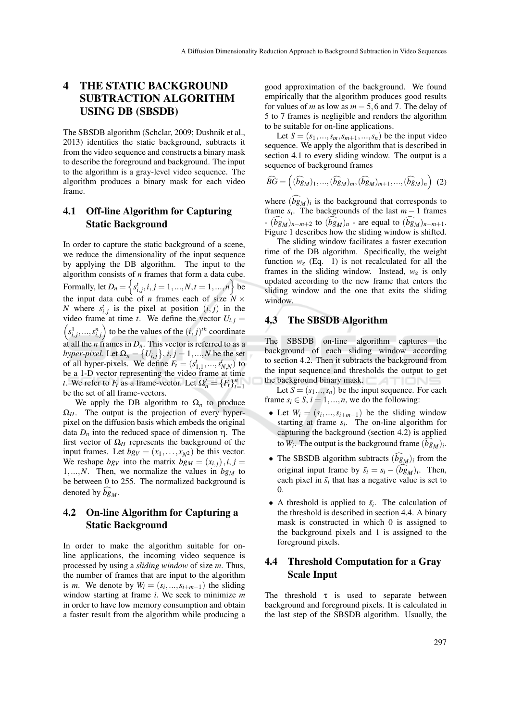# 4 THE STATIC BACKGROUND SUBTRACTION ALGORITHM USING DB (SBSDB)

The SBSDB algorithm (Schclar, 2009; Dushnik et al., 2013) identifies the static background, subtracts it from the video sequence and constructs a binary mask to describe the foreground and background. The input to the algorithm is a gray-level video sequence. The algorithm produces a binary mask for each video frame.

# 4.1 Off-line Algorithm for Capturing Static Background

In order to capture the static background of a scene, we reduce the dimensionality of the input sequence by applying the DB algorithm. The input to the algorithm consists of *n* frames that form a data cube. Formally, let  $D_n = \left\{ s^t_{i,j}, i,j=1,...,N, t=1,...,n \right\}$  be the input data cube of *n* frames each of size  $N \times$ *N* where  $s_{i,j}^t$  is the pixel at position  $(i, j)$  in the video frame at time *t*. We define the vector  $U_{i,j}$  =  $s_{i,j}^1, \ldots, s_{i,j}^n$  to be the values of the  $(i, j)^{th}$  coordinate at all the *n* frames in  $D_n$ . This vector is referred to as a *hyper-pixel*. Let  $\Omega_n = \big\{ U_{i,j} \big\}, i,j = 1,...,N$  be the set of all hyper-pixels. We define  $F_t = (s_{1,1}^t, ..., s_{N,N}^t)$  to be a 1-D vector representing the video frame at time *t*. We refer to  $F_t$  as a frame-vector. Let  $\Omega'_n = \{F_t\}_{t=1}^n$ be the set of all frame-vectors.

We apply the DB algorithm to  $\Omega_n$  to produce  $\Omega_H$ . The output is the projection of every hyperpixel on the diffusion basis which embeds the original data  $D_n$  into the reduced space of dimension η. The first vector of  $\Omega$ <sub>H</sub> represents the background of the input frames. Let  $bg_V = (x_1, \ldots, x_{N^2})$  be this vector. We reshape  $bg_V$  into the matrix  $bg_M = (x_{i,j})$ ,  $i, j =$ 1,...,*N*. Then, we normalize the values in  $bg<sub>M</sub>$  to be between 0 to 255. The normalized background is denoted by  $bg<sub>M</sub>$ .

# 4.2 On-line Algorithm for Capturing a Static Background

In order to make the algorithm suitable for online applications, the incoming video sequence is processed by using a *sliding window* of size *m*. Thus, the number of frames that are input to the algorithm is *m*. We denote by  $W_i = (s_i, ..., s_{i+m-1})$  the sliding window starting at frame *i*. We seek to minimize *m* in order to have low memory consumption and obtain a faster result from the algorithm while producing a good approximation of the background. We found empirically that the algorithm produces good results for values of *m* as low as  $m = 5,6$  and 7. The delay of 5 to 7 frames is negligible and renders the algorithm to be suitable for on-line applications.

Let  $S = (s_1, \ldots, s_m, s_{m+1}, \ldots, s_n)$  be the input video sequence. We apply the algorithm that is described in section 4.1 to every sliding window. The output is a sequence of background frames

$$
\widehat{BG} = \left( (\widehat{bg}_M)_1, \dots, (\widehat{bg}_M)_m, (\widehat{bg}_M)_{m+1}, \dots, (\widehat{bg}_M)_n \right) (2)
$$

where  $(bg_M)_i$  is the background that corresponds to frame  $s_i$ . The backgrounds of the last  $m-1$  frames  $-\left(\widehat{bg}_M\right)_{n-m+2}$  to  $(\widehat{bg}_M)_n$  - are equal to  $(\widehat{bg}_M)_{n-m+1}$ . Figure 1 describes how the sliding window is shifted.

The sliding window facilitates a faster execution time of the DB algorithm. Specifically, the weight function  $w_{\varepsilon}$  (Eq. 1) is not recalculated for all the frames in the sliding window. Instead, *w*<sup>ε</sup> is only updated according to the new frame that enters the sliding window and the one that exits the sliding window.

#### 4.3 The SBSDB Algorithm

The SBSDB on-line algorithm captures the background of each sliding window according to section 4.2. Then it subtracts the background from the input sequence and thresholds the output to get the background binary mask.

Let  $S = (s_1...s_n)$  be the input sequence. For each frame  $s_i \in S$ ,  $i = 1, ..., n$ , we do the following:

- Let  $W_i = (s_i, ..., s_{i+m-1})$  be the sliding window starting at frame  $s_i$ . The on-line algorithm for capturing the background (section 4.2) is applied to  $W_i$ . The output is the background frame  $(bg_M)_i$ .
- The SBSDB algorithm subtracts  $(\hat{b}g_M)$ *i* from the original input frame by  $\bar{s}_i = s_i - (bg_M)_i$ . Then, each pixel in  $\bar{s}_i$  that has a negative value is set to 0.
- A threshold is applied to  $\bar{s}_i$ . The calculation of the threshold is described in section 4.4. A binary mask is constructed in which 0 is assigned to the background pixels and 1 is assigned to the foreground pixels.

# 4.4 Threshold Computation for a Gray Scale Input

The threshold  $\tau$  is used to separate between background and foreground pixels. It is calculated in the last step of the SBSDB algorithm. Usually, the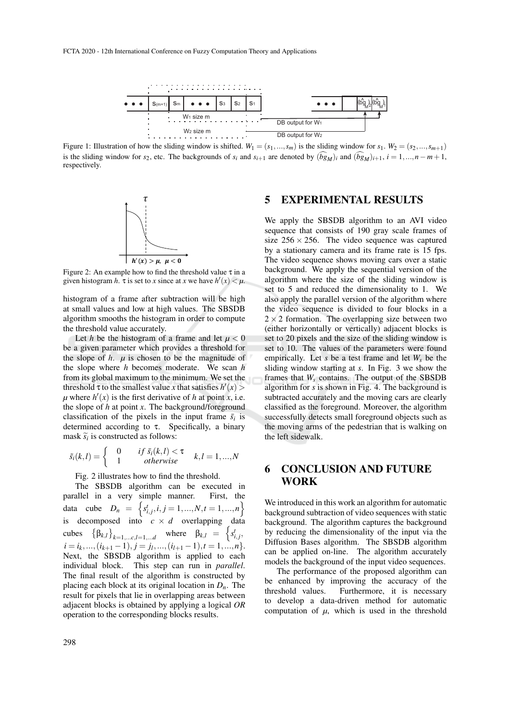

Figure 1: Illustration of how the sliding window is shifted.  $W_1 = (s_1, ..., s_m)$  is the sliding window for  $s_1$ .  $W_2 = (s_2, ..., s_{m+1})$ is the sliding window for *s*<sub>2</sub>, etc. The backgrounds of *s*<sup>*i*</sup> and *s*<sub>*i*+1</sub> are denoted by  $(\widehat{bg}_M)_i$  and  $(\widehat{bg}_M)_{i+1}$ ,  $i = 1,...,n-m+1$ , respectively.



Figure 2: An example how to find the threshold value  $\tau$  in a given histogram *h*.  $\tau$  is set to *x* since at *x* we have  $h'(x) < \mu$ .

histogram of a frame after subtraction will be high at small values and low at high values. The SBSDB algorithm smooths the histogram in order to compute the threshold value accurately.

Let *h* be the histogram of a frame and let  $\mu < 0$ be a given parameter which provides a threshold for the slope of  $h$ .  $\mu$  is chosen to be the magnitude of the slope where *h* becomes moderate. We scan *h* from its global maximum to the minimum. We set the threshold  $\tau$  to the smallest value *x* that satisfies  $h'(x)$  $\mu$  where  $h'(x)$  is the first derivative of *h* at point *x*, i.e. the slope of *h* at point *x*. The background/foreground classification of the pixels in the input frame  $\bar{s}_i$  is determined according to  $\tau$ . Specifically, a binary mask  $\widetilde{s_i}$  is constructed as follows:

$$
\tilde{s}_i(k,l) = \begin{cases}\n0 & if \ \bar{s}_i(k,l) < \tau \\
1 & otherwise\n\end{cases} \quad k,l = 1,...,N
$$

Fig. 2 illustrates how to find the threshold.

The SBSDB algorithm can be executed in parallel in a very simple manner. First, the data cube  $D_n = \{s_{i,j}^t, i, j = 1, ..., N, t = 1, ..., n\}$ is decomposed into  $c \times d$  overlapping data cubes  $\{\beta_{k,l}\}_{k=1,\dots,c,l=1,\dots d}$  where  $\beta_{k,l} = \begin{cases} s^t_{i,j}, \end{cases}$  $i = i_k, ..., (i_{k+1}-1), j = j_l, ..., (i_{l+1}-1), t = 1, ..., n$ . Next, the SBSDB algorithm is applied to each individual block. This step can run in *parallel*. The final result of the algorithm is constructed by placing each block at its original location in *Dn*. The result for pixels that lie in overlapping areas between adjacent blocks is obtained by applying a logical *OR* operation to the corresponding blocks results.

### 5 EXPERIMENTAL RESULTS

We apply the SBSDB algorithm to an AVI video sequence that consists of 190 gray scale frames of size  $256 \times 256$ . The video sequence was captured by a stationary camera and its frame rate is 15 fps. The video sequence shows moving cars over a static background. We apply the sequential version of the algorithm where the size of the sliding window is set to 5 and reduced the dimensionality to 1. We also apply the parallel version of the algorithm where the video sequence is divided to four blocks in a  $2 \times 2$  formation. The overlapping size between two (either horizontally or vertically) adjacent blocks is set to 20 pixels and the size of the sliding window is set to 10. The values of the parameters were found empirically. Let *s* be a test frame and let *W<sup>s</sup>* be the sliding window starting at *s*. In Fig. 3 we show the frames that *W<sup>s</sup>* contains. The output of the SBSDB algorithm for *s* is shown in Fig. 4. The background is subtracted accurately and the moving cars are clearly classified as the foreground. Moreover, the algorithm successfully detects small foreground objects such as the moving arms of the pedestrian that is walking on the left sidewalk.

# 6 CONCLUSION AND FUTURE WORK

We introduced in this work an algorithm for automatic background subtraction of video sequences with static background. The algorithm captures the background by reducing the dimensionality of the input via the Diffusion Bases algorithm. The SBSDB algorithm can be applied on-line. The algorithm accurately models the background of the input video sequences.

The performance of the proposed algorithm can be enhanced by improving the accuracy of the threshold values. Furthermore, it is necessary to develop a data-driven method for automatic computation of  $\mu$ , which is used in the threshold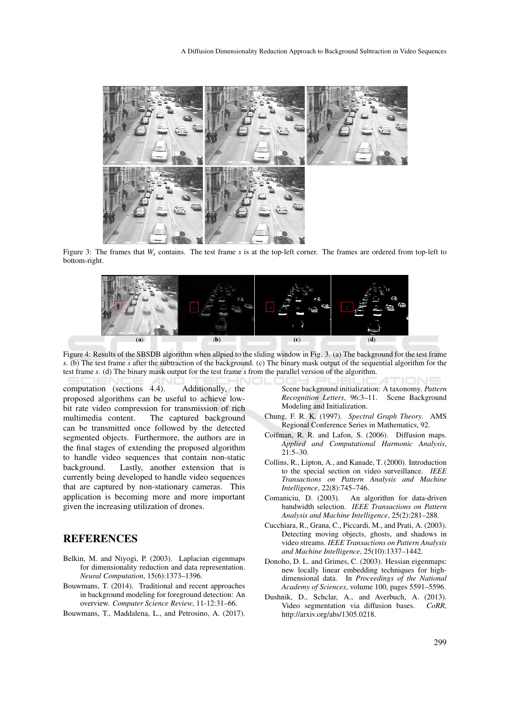

Figure 3: The frames that  $W_s$  contains. The test frame *s* is at the top-left corner. The frames are ordered from top-left to bottom-right.



Figure 4: Results of the SBSDB algorithm when allpied to the sliding window in Fig. 3. (a) The background for the test frame *s*. (b) The test frame *s* after the subtraction of the background. (c) The binary mask output of the sequential algorithm for the test frame *s*. (d) The binary mask output for the test frame *s* from the parallel version of the algorithm.

computation (sections 4.4). Additionally, the proposed algorithms can be useful to achieve lowbit rate video compression for transmission of rich multimedia content. The captured background can be transmitted once followed by the detected segmented objects. Furthermore, the authors are in the final stages of extending the proposed algorithm to handle video sequences that contain non-static background. Lastly, another extension that is currently being developed to handle video sequences that are captured by non-stationary cameras. This application is becoming more and more important given the increasing utilization of drones.

# **REFERENCES**

- Belkin, M. and Niyogi, P. (2003). Laplacian eigenmaps for dimensionality reduction and data representation. *Neural Computation*, 15(6):1373–1396.
- Bouwmans, T. (2014). Traditional and recent approaches in background modeling for foreground detection: An overview. *Computer Science Review*, 11-12:31–66.
- Bouwmans, T., Maddalena, L., and Petrosino, A. (2017).

Scene background initialization: A taxonomy. *Pattern Recognition Letters*, 96:3–11. Scene Background Modeling and Initialization.

- Chung, F. R. K. (1997). *Spectral Graph Theory*. AMS Regional Conference Series in Mathematics, 92.
- Coifman, R. R. and Lafon, S. (2006). Diffusion maps. *Applied and Computational Harmonic Analysis*, 21:5–30.
- Collins, R., Lipton, A., and Kanade, T. (2000). Introduction to the special section on video surveillance. *IEEE Transactions on Pattern Analysis and Machine Intelligence*, 22(8):745–746.
- Comaniciu, D. (2003). An algorithm for data-driven bandwidth selection. *IEEE Transactions on Pattern Analysis and Machine Intelligence*, 25(2):281–288.
- Cucchiara, R., Grana, C., Piccardi, M., and Prati, A. (2003). Detecting moving objects, ghosts, and shadows in video streams. *IEEE Transactions on Pattern Analysis and Machine Intelligence*, 25(10):1337–1442.
- Donoho, D. L. and Grimes, C. (2003). Hessian eigenmaps: new locally linear embedding techniques for highdimensional data. In *Proceedings of the National Academy of Sciences*, volume 100, pages 5591–5596.
- Dushnik, D., Schclar, A., and Averbuch, A. (2013). Video segmentation via diffusion bases. *CoRR*, http://arxiv.org/abs/1305.0218.